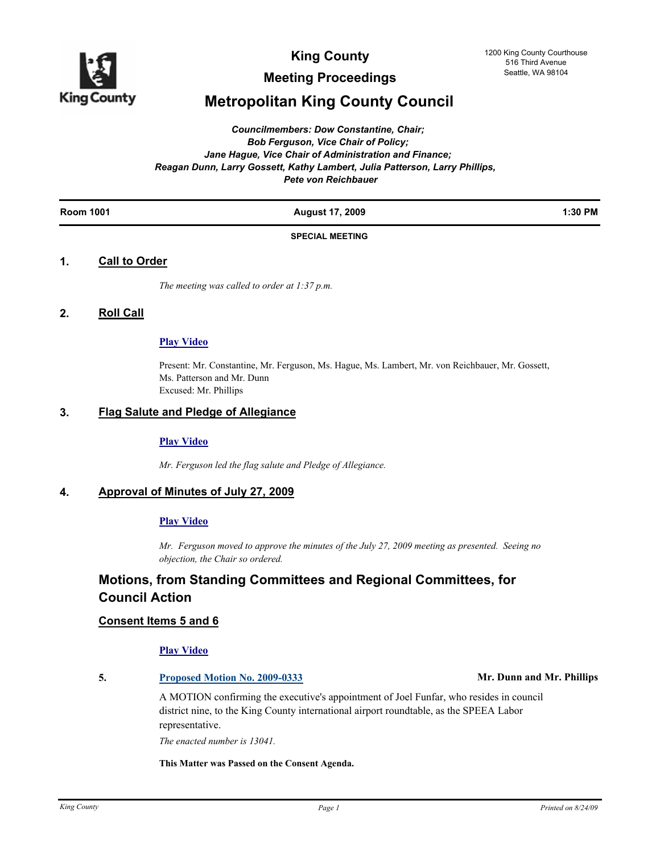

**Meeting Proceedings**

# **Metropolitan King County Council**

#### *Councilmembers: Dow Constantine, Chair; Bob Ferguson, Vice Chair of Policy; Jane Hague, Vice Chair of Administration and Finance; Reagan Dunn, Larry Gossett, Kathy Lambert, Julia Patterson, Larry Phillips, Pete von Reichbauer*

| 1:30 PM |  | 2009<br>- 41 | <b>Room 1001</b> |
|---------|--|--------------|------------------|
|---------|--|--------------|------------------|

#### **SPECIAL MEETING**

### **1. Call to Order**

*The meeting was called to order at 1:37 p.m.*

### **2. Roll Call**

#### **[Play Video](http://mkcclegisearch.kingcounty.gov/medialinkgenerator/index.aspx?meid=1887&hsid=64152)**

Present: Mr. Constantine, Mr. Ferguson, Ms. Hague, Ms. Lambert, Mr. von Reichbauer, Mr. Gossett, Ms. Patterson and Mr. Dunn Excused: Mr. Phillips

#### **3. Flag Salute and Pledge of Allegiance**

#### **[Play Video](http://mkcclegisearch.kingcounty.gov/medialinkgenerator/index.aspx?meid=1887&hsid=64153)**

*Mr. Ferguson led the flag salute and Pledge of Allegiance.*

# **4. Approval of Minutes of July 27, 2009**

### **[Play Video](http://mkcclegisearch.kingcounty.gov/medialinkgenerator/index.aspx?meid=1887&hsid=64156)**

*Mr. Ferguson moved to approve the minutes of the July 27, 2009 meeting as presented. Seeing no objection, the Chair so ordered.*

# **Motions, from Standing Committees and Regional Committees, for Council Action**

#### **Consent Items 5 and 6**

#### **[Play Video](http://mkcclegisearch.kingcounty.gov/medialinkgenerator/index.aspx?meid=1887&hsid=64158)**

### **5. [Proposed Motion No. 2009-0333](http://kingcounty.legistar.com/gateway.aspx?M=L&ID=9783) Mr. Dunn and Mr. Phillips**

A MOTION confirming the executive's appointment of Joel Funfar, who resides in council district nine, to the King County international airport roundtable, as the SPEEA Labor representative.

*The enacted number is 13041.*

**This Matter was Passed on the Consent Agenda.**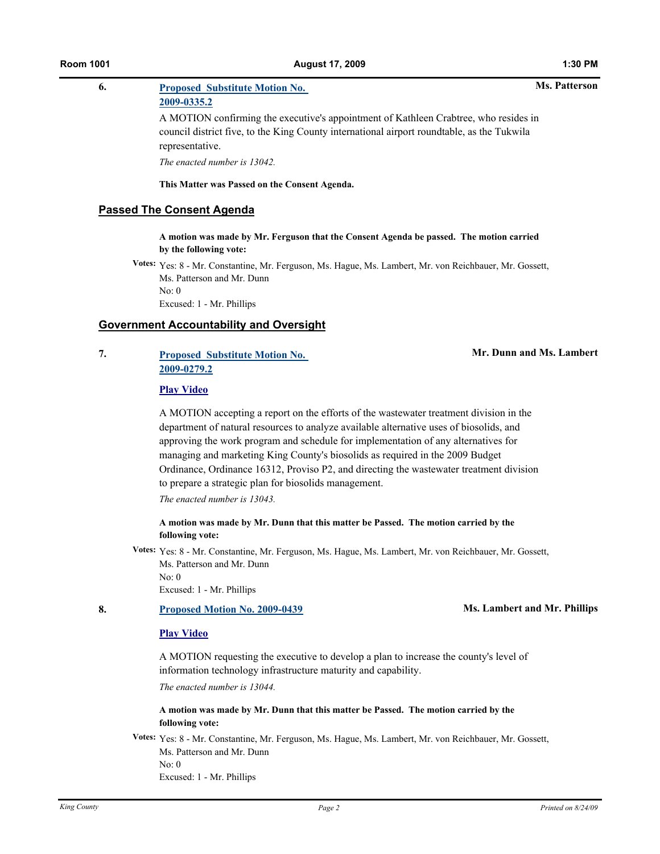#### **Ms. Patterson**

# **6. [Proposed Substitute Motion No.](http://kingcounty.legistar.com/gateway.aspx?M=L&ID=9785)**

# **2009-0335.2**

A MOTION confirming the executive's appointment of Kathleen Crabtree, who resides in council district five, to the King County international airport roundtable, as the Tukwila representative.

*The enacted number is 13042.*

**This Matter was Passed on the Consent Agenda.**

#### **Passed The Consent Agenda**

**A motion was made by Mr. Ferguson that the Consent Agenda be passed. The motion carried by the following vote:**

**Votes:** Yes: 8 - Mr. Constantine, Mr. Ferguson, Ms. Hague, Ms. Lambert, Mr. von Reichbauer, Mr. Gossett, Ms. Patterson and Mr. Dunn No: 0

Excused: 1 - Mr. Phillips

### **Government Accountability and Oversight**

# **7. [Proposed Substitute Motion No.](http://kingcounty.legistar.com/gateway.aspx?M=L&ID=9675)  2009-0279.2**

**Mr. Dunn and Ms. Lambert**

#### **[Play Video](http://mkcclegisearch.kingcounty.gov/medialinkgenerator/index.aspx?meid=1887&hsid=64161)**

A MOTION accepting a report on the efforts of the wastewater treatment division in the department of natural resources to analyze available alternative uses of biosolids, and approving the work program and schedule for implementation of any alternatives for managing and marketing King County's biosolids as required in the 2009 Budget Ordinance, Ordinance 16312, Proviso P2, and directing the wastewater treatment division to prepare a strategic plan for biosolids management.

*The enacted number is 13043.*

#### **A motion was made by Mr. Dunn that this matter be Passed. The motion carried by the following vote:**

**Votes:** Yes: 8 - Mr. Constantine, Mr. Ferguson, Ms. Hague, Ms. Lambert, Mr. von Reichbauer, Mr. Gossett, Ms. Patterson and Mr. Dunn No: 0

Excused: 1 - Mr. Phillips

#### **8. [Proposed Motion No. 2009-0439](http://kingcounty.legistar.com/gateway.aspx?M=L&ID=9962) Ms. Lambert and Mr. Phillips**

#### **[Play Video](http://mkcclegisearch.kingcounty.gov/medialinkgenerator/index.aspx?meid=1887&hsid=64164)**

A MOTION requesting the executive to develop a plan to increase the county's level of information technology infrastructure maturity and capability. *The enacted number is 13044.*

**A motion was made by Mr. Dunn that this matter be Passed. The motion carried by the following vote:**

**Votes:** Yes: 8 - Mr. Constantine, Mr. Ferguson, Ms. Hague, Ms. Lambert, Mr. von Reichbauer, Mr. Gossett, Ms. Patterson and Mr. Dunn No: 0 Excused: 1 - Mr. Phillips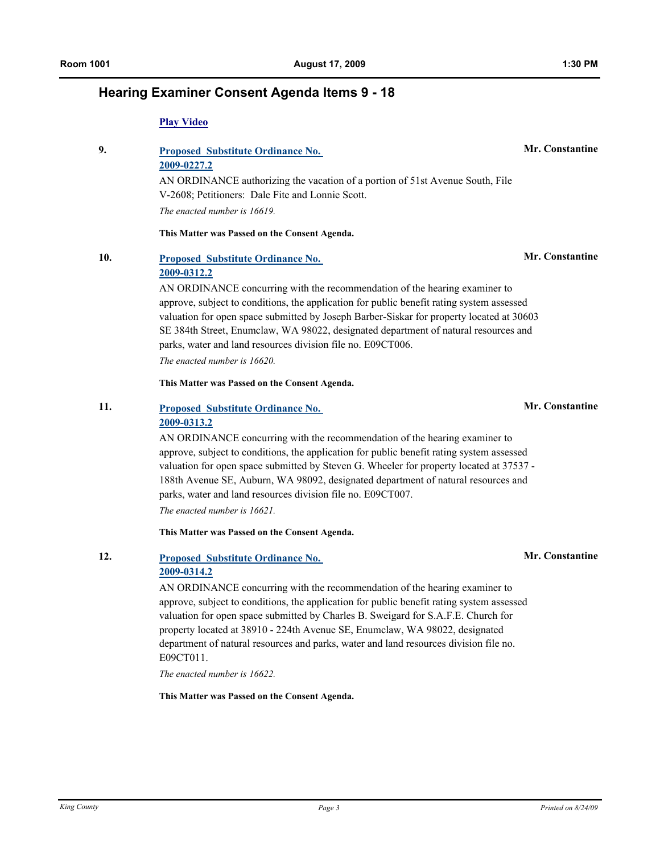# **Hearing Examiner Consent Agenda Items 9 - 18**

#### **[Play Video](http://mkcclegisearch.kingcounty.gov/medialinkgenerator/index.aspx?meid=1887&hsid=64167)**

# **9. [Proposed Substitute Ordinance No.](http://kingcounty.legistar.com/gateway.aspx?M=L&ID=9580)  2009-0227.2**

AN ORDINANCE authorizing the vacation of a portion of 51st Avenue South, File V-2608; Petitioners: Dale Fite and Lonnie Scott.

*The enacted number is 16619.*

**This Matter was Passed on the Consent Agenda.**

# **10. [Proposed Substitute Ordinance No.](http://kingcounty.legistar.com/gateway.aspx?M=L&ID=9731)  2009-0312.2**

AN ORDINANCE concurring with the recommendation of the hearing examiner to approve, subject to conditions, the application for public benefit rating system assessed valuation for open space submitted by Joseph Barber-Siskar for property located at 30603 SE 384th Street, Enumclaw, WA 98022, designated department of natural resources and parks, water and land resources division file no. E09CT006.

*The enacted number is 16620.*

**This Matter was Passed on the Consent Agenda.**

# **11. [Proposed Substitute Ordinance No.](http://kingcounty.legistar.com/gateway.aspx?M=L&ID=9745)  2009-0313.2**

AN ORDINANCE concurring with the recommendation of the hearing examiner to approve, subject to conditions, the application for public benefit rating system assessed valuation for open space submitted by Steven G. Wheeler for property located at 37537 - 188th Avenue SE, Auburn, WA 98092, designated department of natural resources and parks, water and land resources division file no. E09CT007.

*The enacted number is 16621.*

**This Matter was Passed on the Consent Agenda.**

# **12. [Proposed Substitute Ordinance No.](http://kingcounty.legistar.com/gateway.aspx?M=L&ID=9746)  2009-0314.2**

AN ORDINANCE concurring with the recommendation of the hearing examiner to approve, subject to conditions, the application for public benefit rating system assessed valuation for open space submitted by Charles B. Sweigard for S.A.F.E. Church for property located at 38910 - 224th Avenue SE, Enumclaw, WA 98022, designated department of natural resources and parks, water and land resources division file no. E09CT011.

*The enacted number is 16622.*

**This Matter was Passed on the Consent Agenda.**

### **Mr. Constantine**

# **Mr. Constantine**

# **Mr. Constantine**

**Mr. Constantine**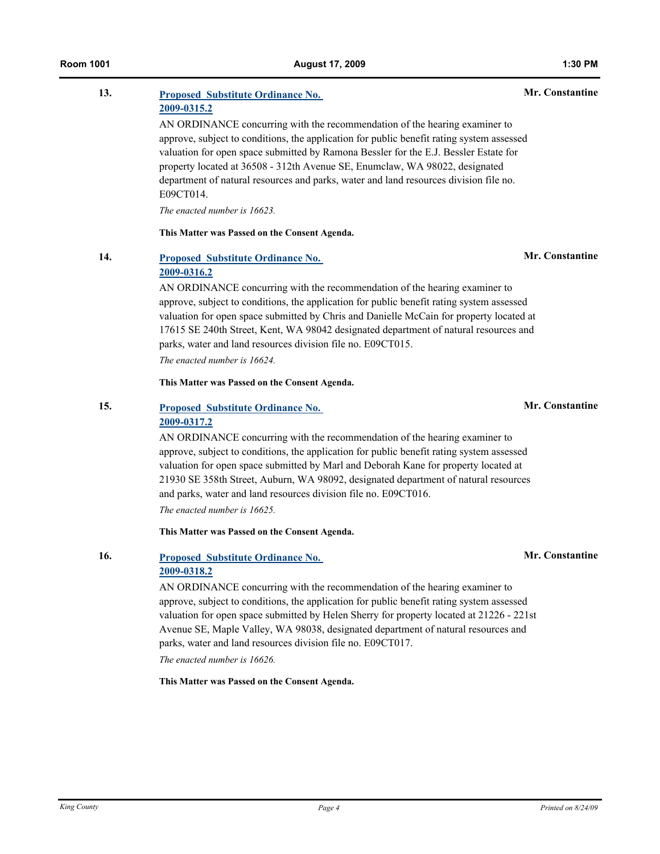### **13. [Proposed Substitute Ordinance No.](http://kingcounty.legistar.com/gateway.aspx?M=L&ID=9747)  2009-0315.2 Mr. Constantine** AN ORDINANCE concurring with the recommendation of the hearing examiner to approve, subject to conditions, the application for public benefit rating system assessed valuation for open space submitted by Ramona Bessler for the E.J. Bessler Estate for property located at 36508 - 312th Avenue SE, Enumclaw, WA 98022, designated department of natural resources and parks, water and land resources division file no. E09CT014. *The enacted number is 16623.*

**This Matter was Passed on the Consent Agenda.**

# **14. [Proposed Substitute Ordinance No.](http://kingcounty.legistar.com/gateway.aspx?M=L&ID=9748)  2009-0316.2**

AN ORDINANCE concurring with the recommendation of the hearing examiner to approve, subject to conditions, the application for public benefit rating system assessed valuation for open space submitted by Chris and Danielle McCain for property located at 17615 SE 240th Street, Kent, WA 98042 designated department of natural resources and parks, water and land resources division file no. E09CT015.

*The enacted number is 16624.*

**This Matter was Passed on the Consent Agenda.**

# **15. [Proposed Substitute Ordinance No.](http://kingcounty.legistar.com/gateway.aspx?M=L&ID=9749)  2009-0317.2**

AN ORDINANCE concurring with the recommendation of the hearing examiner to approve, subject to conditions, the application for public benefit rating system assessed valuation for open space submitted by Marl and Deborah Kane for property located at 21930 SE 358th Street, Auburn, WA 98092, designated department of natural resources and parks, water and land resources division file no. E09CT016. *The enacted number is 16625.*

**This Matter was Passed on the Consent Agenda.**

#### **16. [Proposed Substitute Ordinance No.](http://kingcounty.legistar.com/gateway.aspx?M=L&ID=9750)  2009-0318.2**

AN ORDINANCE concurring with the recommendation of the hearing examiner to approve, subject to conditions, the application for public benefit rating system assessed valuation for open space submitted by Helen Sherry for property located at 21226 - 221st Avenue SE, Maple Valley, WA 98038, designated department of natural resources and parks, water and land resources division file no. E09CT017. *The enacted number is 16626.*

**This Matter was Passed on the Consent Agenda.**

# **Mr. Constantine**

# **Mr. Constantine**

# **Mr. Constantine**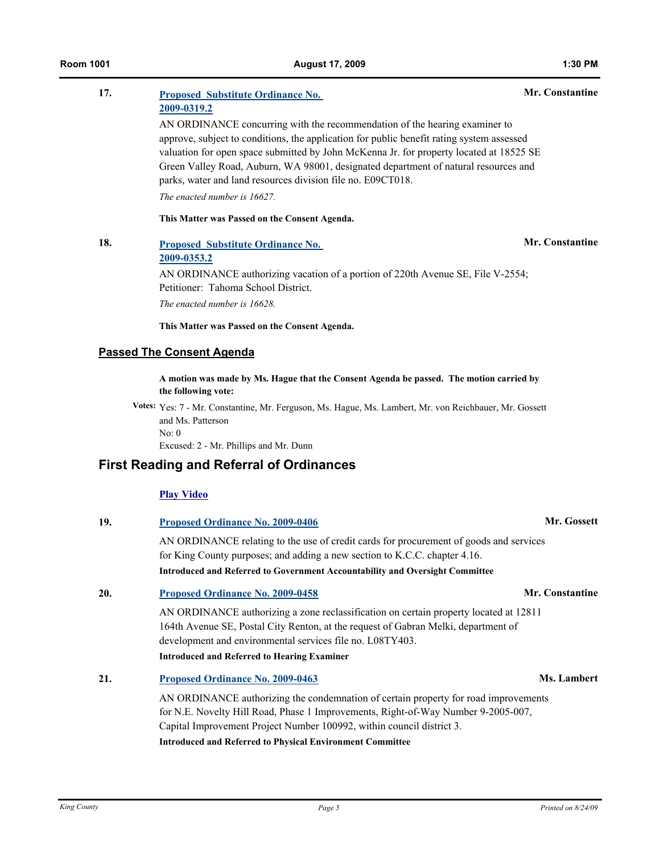| 17. | <b>Proposed Substitute Ordinance No.</b>                                                  | Mr. Constantine |  |
|-----|-------------------------------------------------------------------------------------------|-----------------|--|
|     | 2009-0319.2                                                                               |                 |  |
|     | AN ORDINANCE concurring with the recommendation of the hearing examiner to                |                 |  |
|     | approve, subject to conditions, the application for public benefit rating system assessed |                 |  |
|     | valuation for open space submitted by John McKenna Jr. for property located at 18525 SE   |                 |  |
|     | Green Valley Road, Auburn, WA 98001, designated department of natural resources and       |                 |  |
|     | parks, water and land resources division file no. E09CT018.                               |                 |  |
|     | The enacted number is 16627.                                                              |                 |  |
|     | This Matter was Passed on the Consent Agenda.                                             |                 |  |
| 18. | <b>Proposed Substitute Ordinance No.</b>                                                  | Mr. Constantine |  |
|     | 2009-0353.2                                                                               |                 |  |
|     | AN ORDINANCE authorizing vacation of a portion of 220th Avenue SE, File V-2554;           |                 |  |
|     | Petitioner: Tahoma School District                                                        |                 |  |

*The enacted number is 16628.*

**This Matter was Passed on the Consent Agenda.**

# **Passed The Consent Agenda**

**A motion was made by Ms. Hague that the Consent Agenda be passed. The motion carried by the following vote:**

**Votes:** Yes: 7 - Mr. Constantine, Mr. Ferguson, Ms. Hague, Ms. Lambert, Mr. von Reichbauer, Mr. Gossett and Ms. Patterson No: 0

Excused: 2 - Mr. Phillips and Mr. Dunn

# **First Reading and Referral of Ordinances**

#### **[Play Video](http://mkcclegisearch.kingcounty.gov/medialinkgenerator/index.aspx?meid=1887&hsid=64170)**

| 19. | <b>Proposed Ordinance No. 2009-0406</b>                                                                                                                                                                                                           | Mr. Gossett     |  |  |
|-----|---------------------------------------------------------------------------------------------------------------------------------------------------------------------------------------------------------------------------------------------------|-----------------|--|--|
|     | AN ORDINANCE relating to the use of credit cards for procurement of goods and services<br>for King County purposes; and adding a new section to K.C.C. chapter 4.16.                                                                              |                 |  |  |
|     | Introduced and Referred to Government Accountability and Oversight Committee                                                                                                                                                                      |                 |  |  |
| 20. | <b>Proposed Ordinance No. 2009-0458</b>                                                                                                                                                                                                           | Mr. Constantine |  |  |
|     | AN ORDINANCE authorizing a zone reclassification on certain property located at 12811<br>164th Avenue SE, Postal City Renton, at the request of Gabran Melki, department of<br>development and environmental services file no. L08TY403.          |                 |  |  |
|     | <b>Introduced and Referred to Hearing Examiner</b>                                                                                                                                                                                                |                 |  |  |
| 21. | Proposed Ordinance No. 2009-0463                                                                                                                                                                                                                  | Ms. Lambert     |  |  |
|     | AN ORDINANCE authorizing the condemnation of certain property for road improvements<br>for N.E. Novelty Hill Road, Phase 1 Improvements, Right-of-Way Number 9-2005-007,<br>Capital Improvement Project Number 100992, within council district 3. |                 |  |  |

**Introduced and Referred to Physical Environment Committee**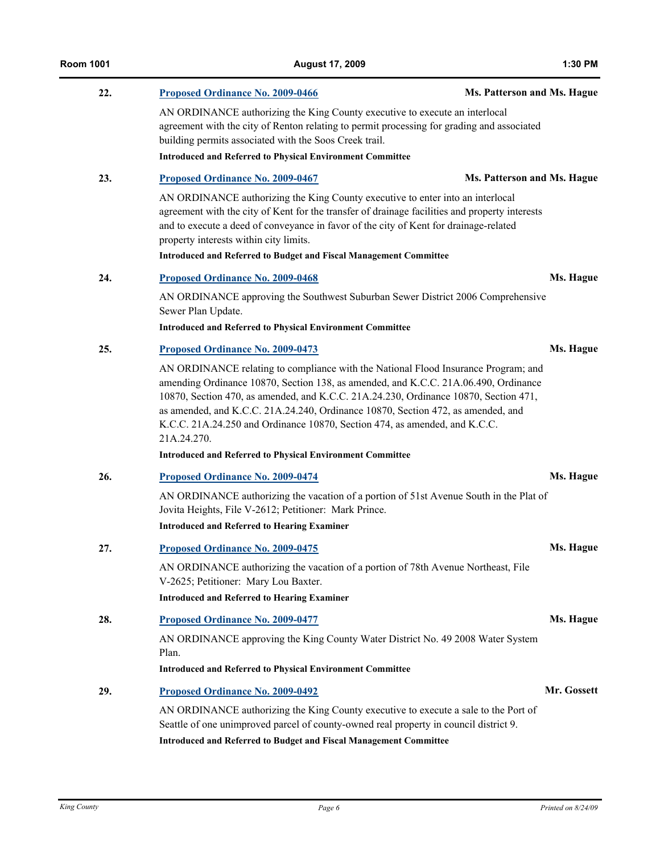| 22. | Proposed Ordinance No. 2009-0466                                                                                                                                                                                                                                                                                                                                                                                                                   | Ms. Patterson and Ms. Hague |  |  |
|-----|----------------------------------------------------------------------------------------------------------------------------------------------------------------------------------------------------------------------------------------------------------------------------------------------------------------------------------------------------------------------------------------------------------------------------------------------------|-----------------------------|--|--|
|     | AN ORDINANCE authorizing the King County executive to execute an interlocal<br>agreement with the city of Renton relating to permit processing for grading and associated<br>building permits associated with the Soos Creek trail.                                                                                                                                                                                                                |                             |  |  |
|     | <b>Introduced and Referred to Physical Environment Committee</b>                                                                                                                                                                                                                                                                                                                                                                                   |                             |  |  |
| 23. | Proposed Ordinance No. 2009-0467                                                                                                                                                                                                                                                                                                                                                                                                                   | Ms. Patterson and Ms. Hague |  |  |
|     | AN ORDINANCE authorizing the King County executive to enter into an interlocal<br>agreement with the city of Kent for the transfer of drainage facilities and property interests<br>and to execute a deed of conveyance in favor of the city of Kent for drainage-related<br>property interests within city limits.<br><b>Introduced and Referred to Budget and Fiscal Management Committee</b>                                                    |                             |  |  |
|     |                                                                                                                                                                                                                                                                                                                                                                                                                                                    |                             |  |  |
| 24. | <b>Proposed Ordinance No. 2009-0468</b>                                                                                                                                                                                                                                                                                                                                                                                                            | Ms. Hague                   |  |  |
|     | AN ORDINANCE approving the Southwest Suburban Sewer District 2006 Comprehensive<br>Sewer Plan Update.                                                                                                                                                                                                                                                                                                                                              |                             |  |  |
|     | <b>Introduced and Referred to Physical Environment Committee</b>                                                                                                                                                                                                                                                                                                                                                                                   |                             |  |  |
| 25. | <b>Proposed Ordinance No. 2009-0473</b>                                                                                                                                                                                                                                                                                                                                                                                                            | Ms. Hague                   |  |  |
|     | AN ORDINANCE relating to compliance with the National Flood Insurance Program; and<br>amending Ordinance 10870, Section 138, as amended, and K.C.C. 21A.06.490, Ordinance<br>10870, Section 470, as amended, and K.C.C. 21A.24.230, Ordinance 10870, Section 471,<br>as amended, and K.C.C. 21A.24.240, Ordinance 10870, Section 472, as amended, and<br>K.C.C. 21A.24.250 and Ordinance 10870, Section 474, as amended, and K.C.C.<br>21A.24.270. |                             |  |  |
|     | <b>Introduced and Referred to Physical Environment Committee</b>                                                                                                                                                                                                                                                                                                                                                                                   |                             |  |  |
| 26. | Proposed Ordinance No. 2009-0474                                                                                                                                                                                                                                                                                                                                                                                                                   | Ms. Hague                   |  |  |
|     | AN ORDINANCE authorizing the vacation of a portion of 51st Avenue South in the Plat of<br>Jovita Heights, File V-2612; Petitioner: Mark Prince.                                                                                                                                                                                                                                                                                                    |                             |  |  |
|     | <b>Introduced and Referred to Hearing Examiner</b>                                                                                                                                                                                                                                                                                                                                                                                                 |                             |  |  |
| 27. | Proposed Ordinance No. 2009-0475                                                                                                                                                                                                                                                                                                                                                                                                                   | Ms. Hague                   |  |  |
|     | AN ORDINANCE authorizing the vacation of a portion of 78th Avenue Northeast, File<br>V-2625; Petitioner: Mary Lou Baxter.                                                                                                                                                                                                                                                                                                                          |                             |  |  |
|     | <b>Introduced and Referred to Hearing Examiner</b>                                                                                                                                                                                                                                                                                                                                                                                                 |                             |  |  |
| 28. | Proposed Ordinance No. 2009-0477                                                                                                                                                                                                                                                                                                                                                                                                                   | Ms. Hague                   |  |  |
|     | AN ORDINANCE approving the King County Water District No. 49 2008 Water System<br>Plan.                                                                                                                                                                                                                                                                                                                                                            |                             |  |  |
|     | <b>Introduced and Referred to Physical Environment Committee</b>                                                                                                                                                                                                                                                                                                                                                                                   |                             |  |  |
| 29. | Proposed Ordinance No. 2009-0492                                                                                                                                                                                                                                                                                                                                                                                                                   | Mr. Gossett                 |  |  |
|     | AN ORDINANCE authorizing the King County executive to execute a sale to the Port of<br>Seattle of one unimproved parcel of county-owned real property in council district 9.<br>Introduced and Referred to Budget and Fiscal Management Committee                                                                                                                                                                                                  |                             |  |  |

**Room 1001 August 17, 2009 1:30 PM**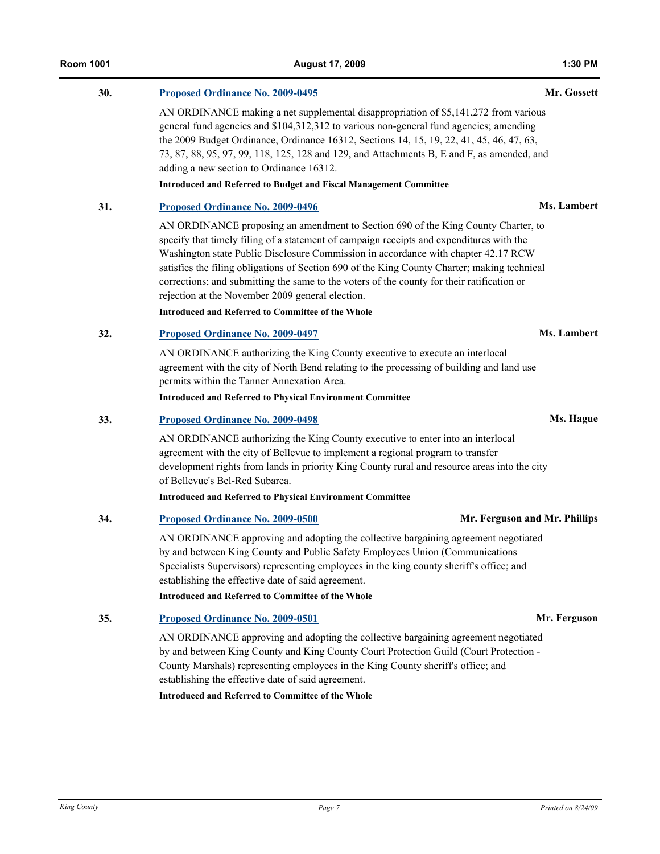# **30. [Proposed Ordinance No. 2009-0495](http://kingcounty.legistar.com/gateway.aspx?M=L&ID=10045) Mr. Gossett**

AN ORDINANCE making a net supplemental disappropriation of \$5,141,272 from various general fund agencies and \$104,312,312 to various non-general fund agencies; amending the 2009 Budget Ordinance, Ordinance 16312, Sections 14, 15, 19, 22, 41, 45, 46, 47, 63, 73, 87, 88, 95, 97, 99, 118, 125, 128 and 129, and Attachments B, E and F, as amended, and adding a new section to Ordinance 16312. **Introduced and Referred to Budget and Fiscal Management Committee**

### **31. [Proposed Ordinance No. 2009-0496](http://kingcounty.legistar.com/gateway.aspx?M=L&ID=10046) Ms. Lambert**

AN ORDINANCE proposing an amendment to Section 690 of the King County Charter, to specify that timely filing of a statement of campaign receipts and expenditures with the Washington state Public Disclosure Commission in accordance with chapter 42.17 RCW satisfies the filing obligations of Section 690 of the King County Charter; making technical corrections; and submitting the same to the voters of the county for their ratification or rejection at the November 2009 general election.

**Introduced and Referred to Committee of the Whole**

**32. [Proposed Ordinance No. 2009-0497](http://kingcounty.legistar.com/gateway.aspx?M=L&ID=10047) Ms. Lambert**

AN ORDINANCE authorizing the King County executive to execute an interlocal agreement with the city of North Bend relating to the processing of building and land use permits within the Tanner Annexation Area.

**Introduced and Referred to Physical Environment Committee**

#### **33. [Proposed Ordinance No. 2009-0498](http://kingcounty.legistar.com/gateway.aspx?M=L&ID=10048) Ms. Hague**

AN ORDINANCE authorizing the King County executive to enter into an interlocal agreement with the city of Bellevue to implement a regional program to transfer development rights from lands in priority King County rural and resource areas into the city of Bellevue's Bel-Red Subarea.

**Introduced and Referred to Physical Environment Committee**

#### **34. [Proposed Ordinance No. 2009-0500](http://kingcounty.legistar.com/gateway.aspx?M=L&ID=10050) Mr. Ferguson and Mr. Phillips**

AN ORDINANCE approving and adopting the collective bargaining agreement negotiated by and between King County and Public Safety Employees Union (Communications Specialists Supervisors) representing employees in the king county sheriff's office; and establishing the effective date of said agreement.

**Introduced and Referred to Committee of the Whole**

#### **35. [Proposed Ordinance No. 2009-0501](http://kingcounty.legistar.com/gateway.aspx?M=L&ID=10051) Mr. Ferguson**

AN ORDINANCE approving and adopting the collective bargaining agreement negotiated by and between King County and King County Court Protection Guild (Court Protection - County Marshals) representing employees in the King County sheriff's office; and establishing the effective date of said agreement.

**Introduced and Referred to Committee of the Whole**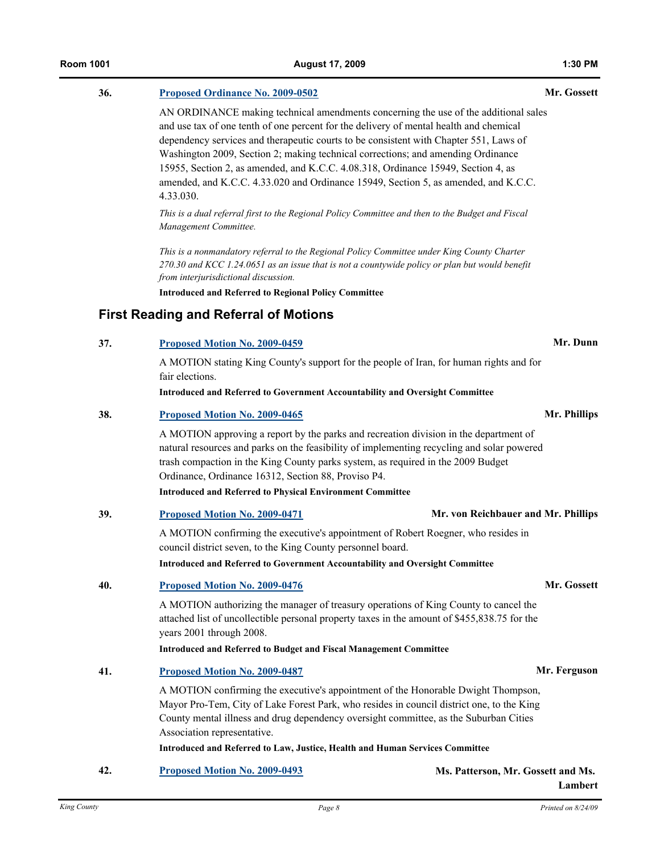# **36. [Proposed Ordinance No. 2009-0502](http://kingcounty.legistar.com/gateway.aspx?M=L&ID=10052) Mr. Gossett**

AN ORDINANCE making technical amendments concerning the use of the additional sales and use tax of one tenth of one percent for the delivery of mental health and chemical dependency services and therapeutic courts to be consistent with Chapter 551, Laws of Washington 2009, Section 2; making technical corrections; and amending Ordinance 15955, Section 2, as amended, and K.C.C. 4.08.318, Ordinance 15949, Section 4, as amended, and K.C.C. 4.33.020 and Ordinance 15949, Section 5, as amended, and K.C.C. 4.33.030.

*This is a dual referral first to the Regional Policy Committee and then to the Budget and Fiscal Management Committee.*

*This is a nonmandatory referral to the Regional Policy Committee under King County Charter 270.30 and KCC 1.24.0651 as an issue that is not a countywide policy or plan but would benefit from interjurisdictional discussion.*

**Introduced and Referred to Regional Policy Committee**

# **First Reading and Referral of Motions**

**37. [Proposed Motion No. 2009-0459](http://kingcounty.legistar.com/gateway.aspx?M=L&ID=10005) Mr. Dunn**

A MOTION stating King County's support for the people of Iran, for human rights and for fair elections.

**Introduced and Referred to Government Accountability and Oversight Committee**

|     | A MOTION approving a report by the parks and recreation division in the department of<br>natural resources and parks on the feasibility of implementing recycling and solar powered<br>trash compaction in the King County parks system, as required in the 2009 Budget<br>Ordinance, Ordinance 16312, Section 88, Proviso P4.<br><b>Introduced and Referred to Physical Environment Committee</b> |                                     |  |  |
|-----|----------------------------------------------------------------------------------------------------------------------------------------------------------------------------------------------------------------------------------------------------------------------------------------------------------------------------------------------------------------------------------------------------|-------------------------------------|--|--|
|     |                                                                                                                                                                                                                                                                                                                                                                                                    |                                     |  |  |
| 39. | <b>Proposed Motion No. 2009-0471</b>                                                                                                                                                                                                                                                                                                                                                               | Mr. von Reichbauer and Mr. Phillips |  |  |
|     | A MOTION confirming the executive's appointment of Robert Roegner, who resides in<br>council district seven, to the King County personnel board.                                                                                                                                                                                                                                                   |                                     |  |  |
|     | <b>Introduced and Referred to Government Accountability and Oversight Committee</b>                                                                                                                                                                                                                                                                                                                |                                     |  |  |
| 40. | Proposed Motion No. 2009-0476                                                                                                                                                                                                                                                                                                                                                                      | Mr. Gossett                         |  |  |
|     | A MOTION authorizing the manager of treasury operations of King County to cancel the<br>attached list of uncollectible personal property taxes in the amount of \$455,838.75 for the<br>years 2001 through 2008.                                                                                                                                                                                   |                                     |  |  |
|     | <b>Introduced and Referred to Budget and Fiscal Management Committee</b>                                                                                                                                                                                                                                                                                                                           |                                     |  |  |

**41. [Proposed Motion No. 2009-0487](http://kingcounty.legistar.com/gateway.aspx?M=L&ID=10037) Mr. Ferguson**

A MOTION confirming the executive's appointment of the Honorable Dwight Thompson, Mayor Pro-Tem, City of Lake Forest Park, who resides in council district one, to the King County mental illness and drug dependency oversight committee, as the Suburban Cities Association representative.

**Introduced and Referred to Law, Justice, Health and Human Services Committee**

**42. [Proposed Motion No. 2009-0493](http://kingcounty.legistar.com/gateway.aspx?M=L&ID=10043) Ms. Patterson, Mr. Gossett and Ms.** 

**Lambert**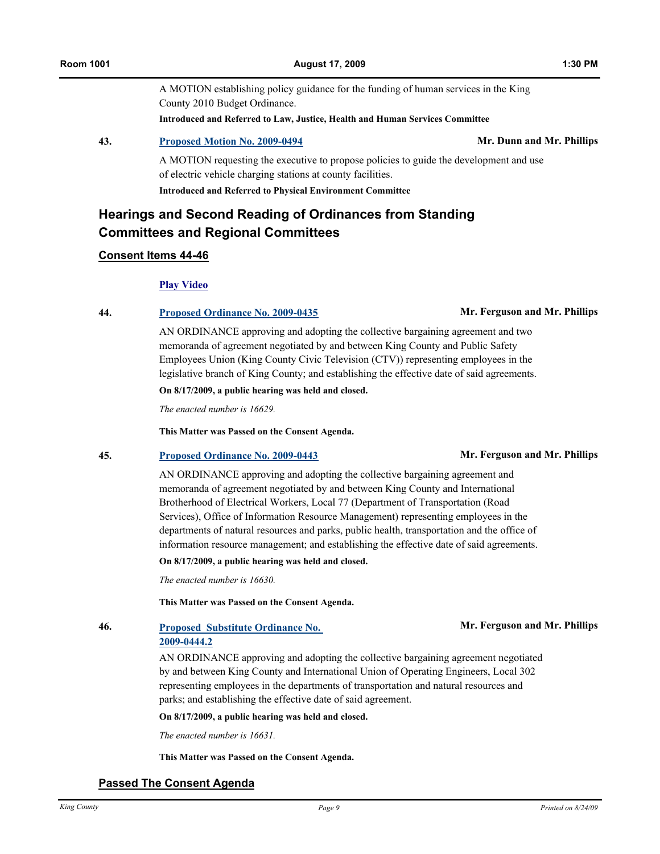A MOTION establishing policy guidance for the funding of human services in the King County 2010 Budget Ordinance. **Introduced and Referred to Law, Justice, Health and Human Services Committee**

**43. [Proposed Motion No. 2009-0494](http://kingcounty.legistar.com/gateway.aspx?M=L&ID=10044) Mr. Dunn and Mr. Phillips**

A MOTION requesting the executive to propose policies to guide the development and use of electric vehicle charging stations at county facilities. **Introduced and Referred to Physical Environment Committee**

# **Hearings and Second Reading of Ordinances from Standing Committees and Regional Committees**

#### **Consent Items 44-46**

#### **[Play Video](http://mkcclegisearch.kingcounty.gov/medialinkgenerator/index.aspx?meid=1887&hsid=64171)**

**44. [Proposed Ordinance No. 2009-0435](http://kingcounty.legistar.com/gateway.aspx?M=L&ID=9958) Mr. Ferguson and Mr. Phillips**

AN ORDINANCE approving and adopting the collective bargaining agreement and two memoranda of agreement negotiated by and between King County and Public Safety Employees Union (King County Civic Television (CTV)) representing employees in the legislative branch of King County; and establishing the effective date of said agreements.

**On 8/17/2009, a public hearing was held and closed.**

*The enacted number is 16629.*

**This Matter was Passed on the Consent Agenda.**

#### **45. [Proposed Ordinance No. 2009-0443](http://kingcounty.legistar.com/gateway.aspx?M=L&ID=9966) Mr. Ferguson and Mr. Phillips**

AN ORDINANCE approving and adopting the collective bargaining agreement and memoranda of agreement negotiated by and between King County and International Brotherhood of Electrical Workers, Local 77 (Department of Transportation (Road Services), Office of Information Resource Management) representing employees in the departments of natural resources and parks, public health, transportation and the office of information resource management; and establishing the effective date of said agreements.

**On 8/17/2009, a public hearing was held and closed.**

*The enacted number is 16630.*

**This Matter was Passed on the Consent Agenda.**

**46. [Proposed Substitute Ordinance No.](http://kingcounty.legistar.com/gateway.aspx?M=L&ID=9967)  2009-0444.2**

AN ORDINANCE approving and adopting the collective bargaining agreement negotiated by and between King County and International Union of Operating Engineers, Local 302 representing employees in the departments of transportation and natural resources and parks; and establishing the effective date of said agreement.

**On 8/17/2009, a public hearing was held and closed.**

*The enacted number is 16631.*

**This Matter was Passed on the Consent Agenda.**

# **Passed The Consent Agenda**

#### **Mr. Ferguson and Mr. Phillips**